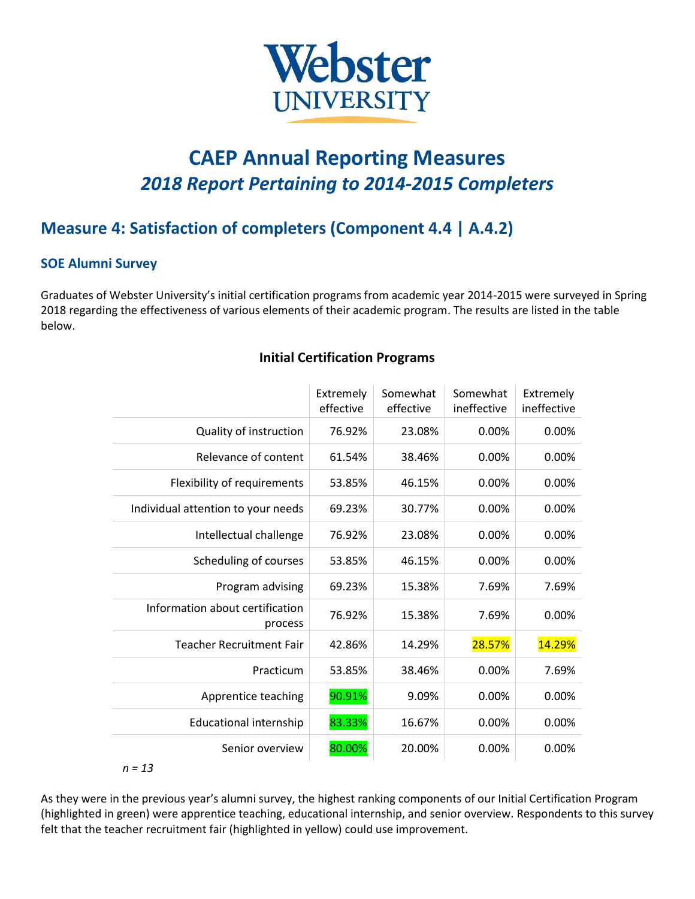

# **CAEP Annual Reporting Measures** *2018 Report Pertaining to 2014-2015 Completers*

# **Measure 4: Satisfaction of completers (Component 4.4 | A.4.2)**

#### **SOE Alumni Survey**

Graduates of Webster University's initial certification programs from academic year 2014-2015 were surveyed in Spring 2018 regarding the effectiveness of various elements of their academic program. The results are listed in the table below.

|                                            | Extremely<br>effective | Somewhat<br>effective | Somewhat<br>ineffective | Extremely<br>ineffective |
|--------------------------------------------|------------------------|-----------------------|-------------------------|--------------------------|
| Quality of instruction                     | 76.92%                 | 23.08%                | 0.00%                   | 0.00%                    |
| Relevance of content                       | 61.54%                 | 38.46%                | 0.00%                   | 0.00%                    |
| Flexibility of requirements                | 53.85%                 | 46.15%                | 0.00%                   | 0.00%                    |
| Individual attention to your needs         | 69.23%                 | 30.77%                | 0.00%                   | 0.00%                    |
| Intellectual challenge                     | 76.92%                 | 23.08%                | $0.00\%$                | $0.00\%$                 |
| Scheduling of courses                      | 53.85%                 | 46.15%                | 0.00%                   | 0.00%                    |
| Program advising                           | 69.23%                 | 15.38%                | 7.69%                   | 7.69%                    |
| Information about certification<br>process | 76.92%                 | 15.38%                | 7.69%                   | 0.00%                    |
| <b>Teacher Recruitment Fair</b>            | 42.86%                 | 14.29%                | 28.57%                  | 14.29%                   |
| Practicum                                  | 53.85%                 | 38.46%                | $0.00\%$                | 7.69%                    |
| Apprentice teaching                        | 90.91%                 | 9.09%                 | 0.00%                   | 0.00%                    |
| <b>Educational internship</b>              | 83.33%                 | 16.67%                | 0.00%                   | 0.00%                    |
| Senior overview                            | 80.00%                 | 20.00%                | 0.00%                   | 0.00%                    |

## **Initial Certification Programs**

As they were in the previous year's alumni survey, the highest ranking components of our Initial Certification Program (highlighted in green) were apprentice teaching, educational internship, and senior overview. Respondents to this survey felt that the teacher recruitment fair (highlighted in yellow) could use improvement.

*n = 13*